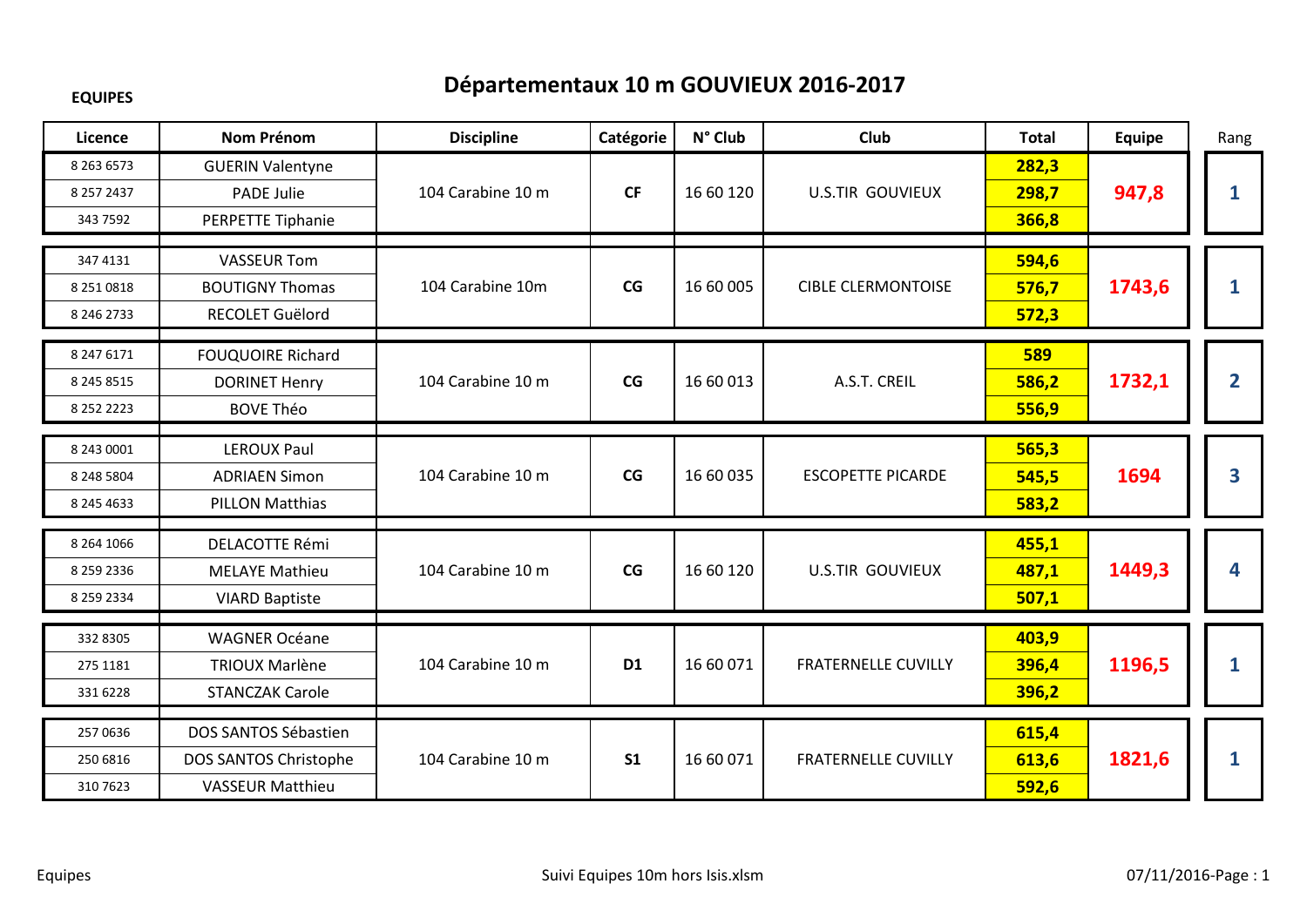## **EQUIPES**

## **Départementaux 10 m GOUVIEUX 2016-2017**

| Licence                                          | <b>Nom Prénom</b>                                                        | <b>Discipline</b> | Catégorie      | N° Club   | Club                       | <b>Total</b>            | <b>Equipe</b> | Rang           |
|--------------------------------------------------|--------------------------------------------------------------------------|-------------------|----------------|-----------|----------------------------|-------------------------|---------------|----------------|
| 8 2 6 3 6 5 7 3<br>8 257 2437<br>343 7592        | <b>GUERIN Valentyne</b><br><b>PADE Julie</b><br>PERPETTE Tiphanie        | 104 Carabine 10 m | <b>CF</b>      | 16 60 120 | <b>U.S.TIR GOUVIEUX</b>    | 282,3<br>298,7<br>366,8 | 947,8         | 1              |
| 347 4131<br>8 251 0818<br>8 246 2733             | <b>VASSEUR Tom</b><br><b>BOUTIGNY Thomas</b><br>RECOLET Guëlord          | 104 Carabine 10m  | CG             | 16 60 005 | <b>CIBLE CLERMONTOISE</b>  | 594,6<br>576,7<br>572,3 | 1743,6        | 1              |
| 8 247 6171<br>8 2 4 5 8 5 1 5<br>8 2 5 2 2 2 2 3 | <b>FOUQUOIRE Richard</b><br><b>DORINET Henry</b><br><b>BOVE Théo</b>     | 104 Carabine 10 m | CG             | 16 60 013 | A.S.T. CREIL               | 589<br>586,2<br>556,9   | 1732,1        | $\overline{2}$ |
| 8 243 0001<br>8 248 5804<br>8 245 4633           | <b>LEROUX Paul</b><br><b>ADRIAEN Simon</b><br><b>PILLON Matthias</b>     | 104 Carabine 10 m | CG             | 16 60 035 | <b>ESCOPETTE PICARDE</b>   | 565,3<br>545,5<br>583,2 | 1694          | 3              |
| 8 2 6 4 1 0 6 6<br>8 259 2336<br>8 259 2334      | <b>DELACOTTE Rémi</b><br><b>MELAYE Mathieu</b><br><b>VIARD Baptiste</b>  | 104 Carabine 10 m | CG             | 16 60 120 | <b>U.S.TIR GOUVIEUX</b>    | 455,1<br>487,1<br>507,1 | 1449,3        | 4              |
| 332 8305<br>275 1181<br>331 6228                 | <b>WAGNER Océane</b><br><b>TRIOUX Marlène</b><br><b>STANCZAK Carole</b>  | 104 Carabine 10 m | D <sub>1</sub> | 16 60 071 | <b>FRATERNELLE CUVILLY</b> | 403,9<br>396,4<br>396,2 | 1196,5        | 1              |
| 257 0636<br>250 6816<br>310 7623                 | DOS SANTOS Sébastien<br>DOS SANTOS Christophe<br><b>VASSEUR Matthieu</b> | 104 Carabine 10 m | S <sub>1</sub> | 16 60 071 | <b>FRATERNELLE CUVILLY</b> | 615,4<br>613,6<br>592,6 | 1821,6        | 1              |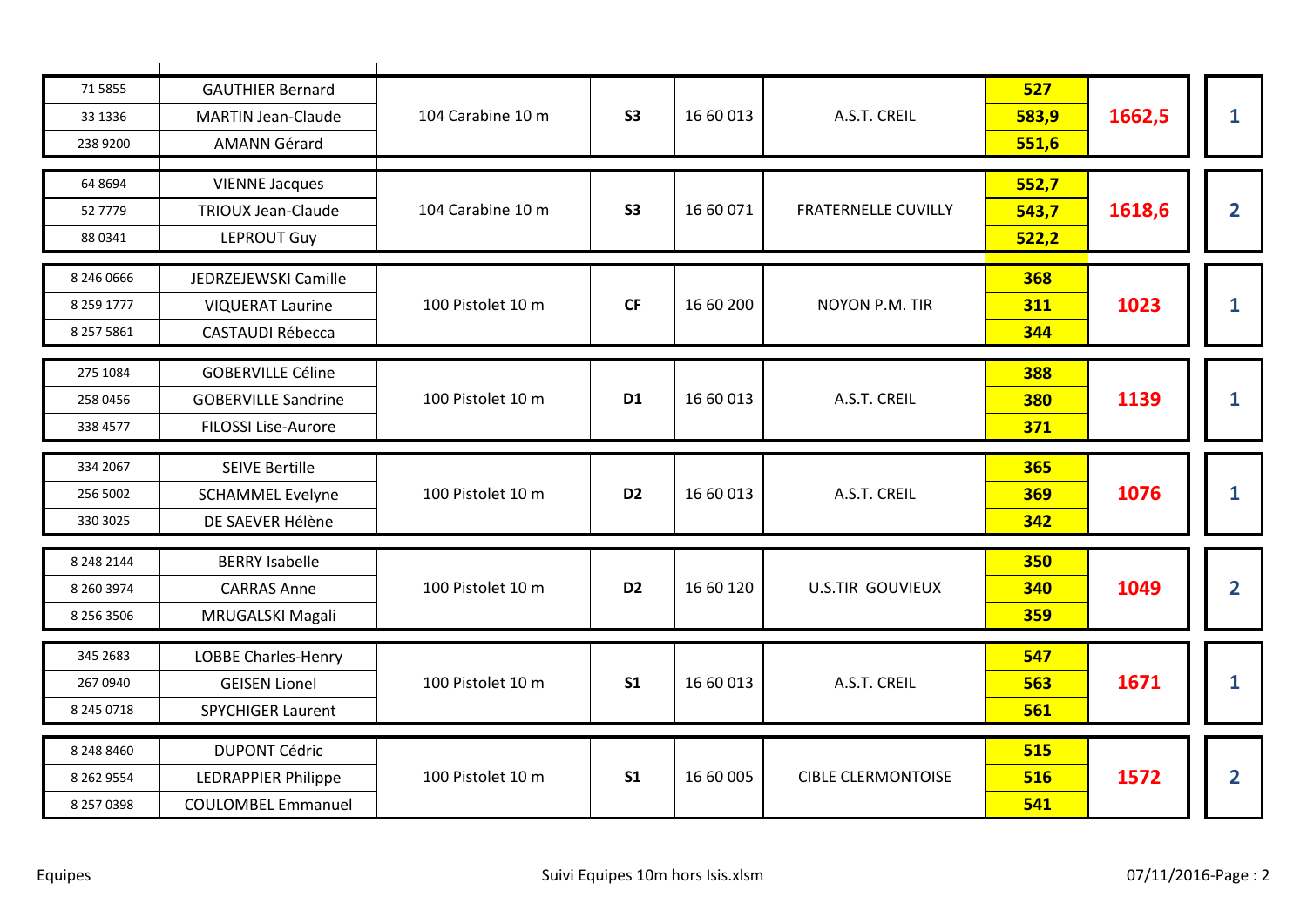| 71 5855<br>33 1336<br>238 9200         | <b>GAUTHIER Bernard</b><br><b>MARTIN Jean-Claude</b><br><b>AMANN Gérard</b>          | 104 Carabine 10 m | S <sub>3</sub> | 16 60 013 | A.S.T. CREIL               | 527<br>583,9<br>551,6    | 1662,5 | 1              |
|----------------------------------------|--------------------------------------------------------------------------------------|-------------------|----------------|-----------|----------------------------|--------------------------|--------|----------------|
| 64 8694<br>52 7779<br>88 0341          | <b>VIENNE Jacques</b><br><b>TRIOUX Jean-Claude</b><br><b>LEPROUT Guy</b>             | 104 Carabine 10 m | <b>S3</b>      | 16 60 071 | <b>FRATERNELLE CUVILLY</b> | 552,7<br>543,7<br>522,2  | 1618,6 | $\overline{2}$ |
| 8 246 0666<br>8 259 1777<br>8 257 5861 | JEDRZEJEWSKI Camille<br><b>VIQUERAT Laurine</b><br><b>CASTAUDI Rébecca</b>           | 100 Pistolet 10 m | <b>CF</b>      | 16 60 200 | <b>NOYON P.M. TIR</b>      | 368<br>311<br>344        | 1023   |                |
| 275 1084<br>258 0456<br>338 4577       | <b>GOBERVILLE Céline</b><br><b>GOBERVILLE Sandrine</b><br><b>FILOSSI Lise-Aurore</b> | 100 Pistolet 10 m | D <sub>1</sub> | 16 60 013 | A.S.T. CREIL               | 388<br>380<br>371        | 1139   | 1              |
| 334 2067<br>256 5002<br>330 3025       | <b>SEIVE Bertille</b><br><b>SCHAMMEL Evelyne</b><br>DE SAEVER Hélène                 | 100 Pistolet 10 m | D <sub>2</sub> | 16 60 013 | A.S.T. CREIL               | 365<br>369<br>342        | 1076   | 1              |
| 8 248 2144<br>8 260 3974<br>8 256 3506 | <b>BERRY Isabelle</b><br><b>CARRAS Anne</b><br>MRUGALSKI Magali                      | 100 Pistolet 10 m | D <sub>2</sub> | 16 60 120 | <b>U.S.TIR GOUVIEUX</b>    | <b>350</b><br>340<br>359 | 1049   | $\overline{2}$ |
| 345 2683<br>267 0940<br>8 245 0718     | <b>LOBBE Charles-Henry</b><br><b>GEISEN Lionel</b><br><b>SPYCHIGER Laurent</b>       | 100 Pistolet 10 m | S <sub>1</sub> | 16 60 013 | A.S.T. CREIL               | 547<br>563<br>561        | 1671   | 1              |
| 8 248 8460                             | <b>DUPONT Cédric</b>                                                                 |                   |                |           |                            | 515                      |        |                |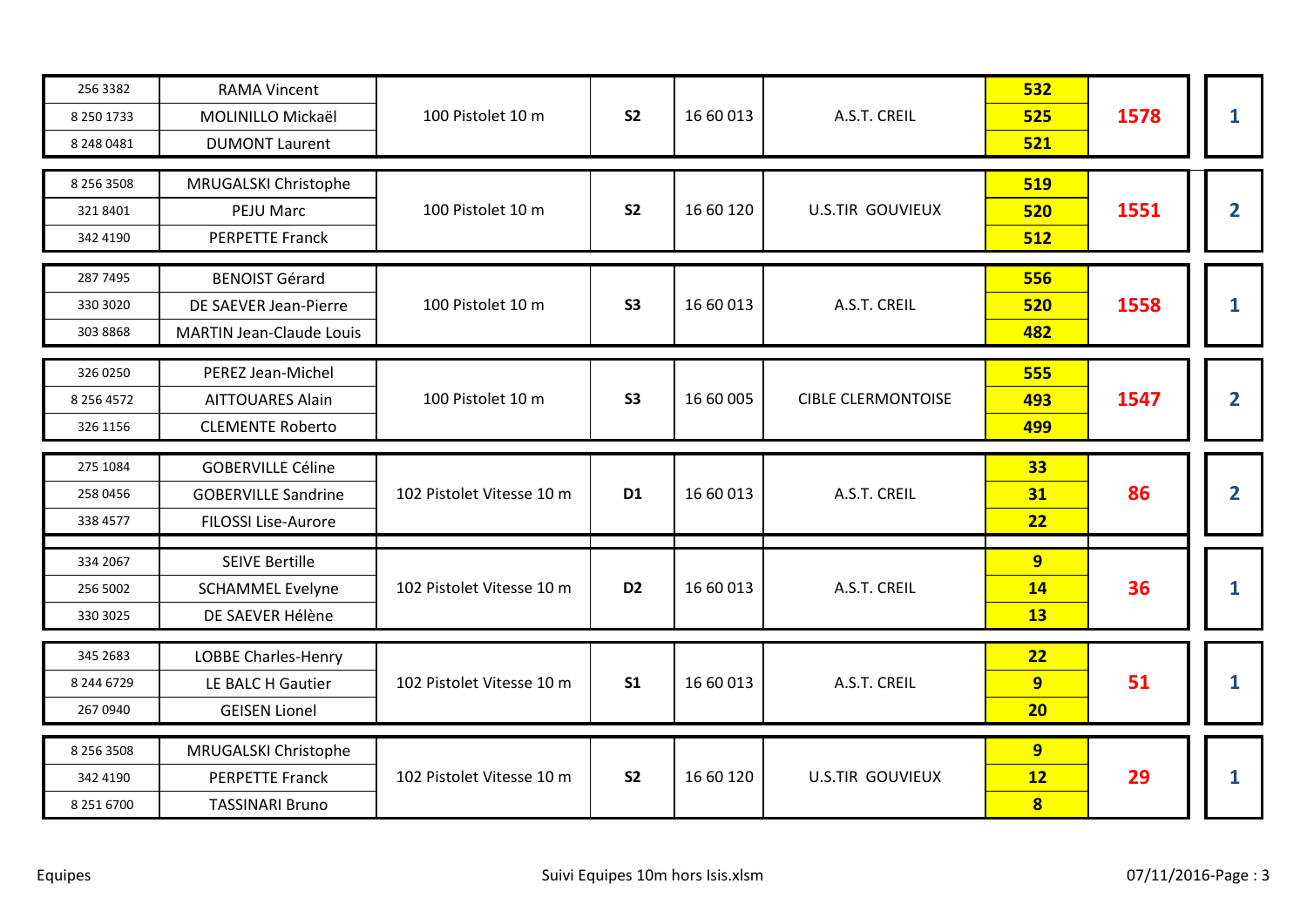| 256 3382<br>8 250 1733<br>8 248 0481 | <b>RAMA Vincent</b><br>MOLINILLO Mickaël<br><b>DUMONT Laurent</b>                    | 100 Pistolet 10 m         | S <sub>2</sub> | 16 60 013 | A.S.T. CREIL              | 532<br>525<br>521                        | 1578 | 1              |
|--------------------------------------|--------------------------------------------------------------------------------------|---------------------------|----------------|-----------|---------------------------|------------------------------------------|------|----------------|
| 8 256 3508<br>321 8401<br>342 4190   | MRUGALSKI Christophe<br>PEJU Marc<br><b>PERPETTE Franck</b>                          | 100 Pistolet 10 m         | S <sub>2</sub> | 16 60 120 | <b>U.S.TIR GOUVIEUX</b>   | 519<br>520<br>512                        | 1551 | $\overline{2}$ |
| 287 7495<br>330 3020<br>303 8868     | <b>BENOIST Gérard</b><br>DE SAEVER Jean-Pierre<br><b>MARTIN Jean-Claude Louis</b>    | 100 Pistolet 10 m         | <b>S3</b>      | 16 60 013 | A.S.T. CREIL              | 556<br>520<br>482                        | 1558 | 1              |
| 326 0250<br>8 256 4572<br>326 1156   | PEREZ Jean-Michel<br><b>AITTOUARES Alain</b><br><b>CLEMENTE Roberto</b>              | 100 Pistolet 10 m         | S <sub>3</sub> | 16 60 005 | <b>CIBLE CLERMONTOISE</b> | 555<br>493<br>499                        | 1547 | $\mathbf{2}$   |
|                                      |                                                                                      |                           |                |           |                           |                                          |      |                |
| 275 1084<br>258 0456<br>338 4577     | <b>GOBERVILLE Céline</b><br><b>GOBERVILLE Sandrine</b><br><b>FILOSSI Lise-Aurore</b> | 102 Pistolet Vitesse 10 m | D <sub>1</sub> | 16 60 013 | A.S.T. CREIL              | 33<br>31<br>22                           | 86   | $\mathbf{2}$   |
| 334 2067<br>256 5002<br>330 3025     | <b>SEIVE Bertille</b><br><b>SCHAMMEL Evelyne</b><br>DE SAEVER Hélène                 | 102 Pistolet Vitesse 10 m | D <sub>2</sub> | 16 60 013 | A.S.T. CREIL              | 9 <sup>°</sup><br><b>14</b><br><b>13</b> | 36   | $\mathbf{1}$   |
| 345 2683<br>8 244 6729<br>267 0940   | LOBBE Charles-Henry<br>LE BALC H Gautier<br><b>GEISEN Lionel</b>                     | 102 Pistolet Vitesse 10 m | S <sub>1</sub> | 16 60 013 | A.S.T. CREIL              | 22<br>9<br>20                            | 51   | 1              |